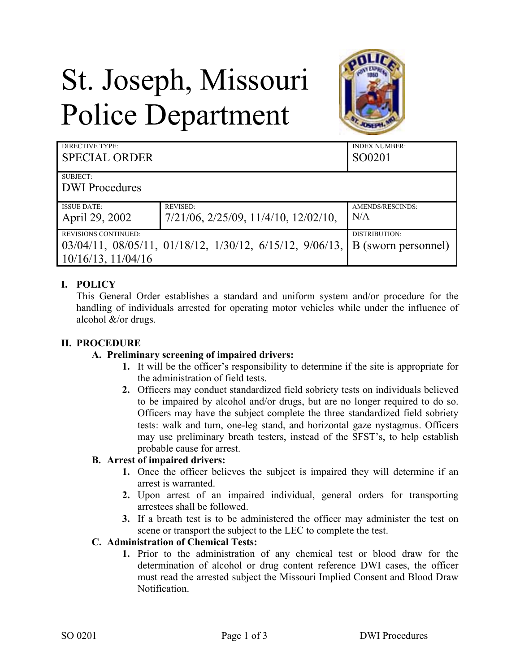# St. Joseph, Missouri Police Department



| DIRECTIVE TYPE:<br><b>SPECIAL ORDER</b>                |                                                                                                | <b>INDEX NUMBER:</b><br>SO0201 |
|--------------------------------------------------------|------------------------------------------------------------------------------------------------|--------------------------------|
| SUBJECT:<br><b>DWI</b> Procedures                      |                                                                                                |                                |
|                                                        |                                                                                                |                                |
| <b>ISSUE DATE:</b><br>April 29, 2002                   | <b>REVISED:</b><br>$7/21/06$ , $2/25/09$ , $11/4/10$ , $12/02/10$ ,                            | AMENDS/RESCINDS:<br>N/A        |
| <b>REVISIONS CONTINUED:</b><br>$10/16/13$ , $11/04/16$ | $03/04/11$ , $08/05/11$ , $01/18/12$ , $1/30/12$ , $6/15/12$ , $9/06/13$ , B (sworn personnel) | DISTRIBUTION:                  |

#### **I. POLICY**

This General Order establishes a standard and uniform system and/or procedure for the handling of individuals arrested for operating motor vehicles while under the influence of alcohol &/or drugs.

#### **II. PROCEDURE**

#### **A. Preliminary screening of impaired drivers:**

- **1.** It will be the officer's responsibility to determine if the site is appropriate for the administration of field tests.
- **2.** Officers may conduct standardized field sobriety tests on individuals believed to be impaired by alcohol and/or drugs, but are no longer required to do so. Officers may have the subject complete the three standardized field sobriety tests: walk and turn, one-leg stand, and horizontal gaze nystagmus. Officers may use preliminary breath testers, instead of the SFST's, to help establish probable cause for arrest.

#### **B. Arrest of impaired drivers:**

- **1.** Once the officer believes the subject is impaired they will determine if an arrest is warranted.
- **2.** Upon arrest of an impaired individual, general orders for transporting arrestees shall be followed.
- **3.** If a breath test is to be administered the officer may administer the test on scene or transport the subject to the LEC to complete the test.

# **C. Administration of Chemical Tests:**

**1.** Prior to the administration of any chemical test or blood draw for the determination of alcohol or drug content reference DWI cases, the officer must read the arrested subject the Missouri Implied Consent and Blood Draw Notification.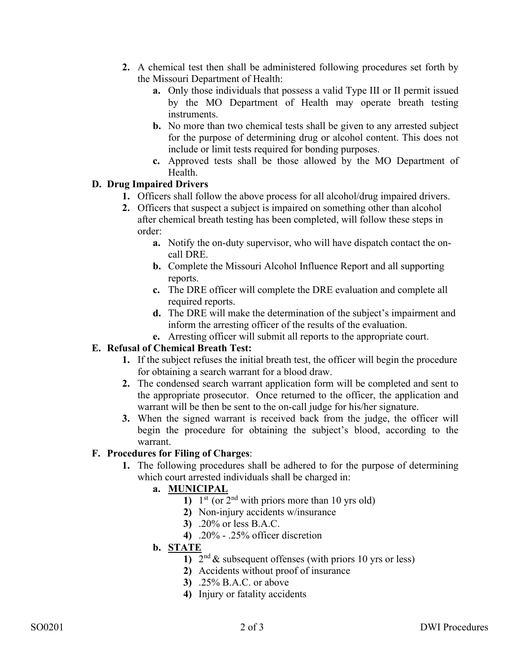- **2.** A chemical test then shall be administered following procedures set forth by the Missouri Department of Health:
	- **a.** Only those individuals that possess a valid Type III or II permit issued by the MO Department of Health may operate breath testing instruments.
	- **b.** No more than two chemical tests shall be given to any arrested subject for the purpose of determining drug or alcohol content. This does not include or limit tests required for bonding purposes.
	- **c.** Approved tests shall be those allowed by the MO Department of Health.

# **D. Drug Impaired Drivers**

- **1.** Officers shall follow the above process for all alcohol/drug impaired drivers.
- **2.** Officers that suspect a subject is impaired on something other than alcohol after chemical breath testing has been completed, will follow these steps in order:
	- **a.** Notify the on-duty supervisor, who will have dispatch contact the oncall DRE.
	- **b.** Complete the Missouri Alcohol Influence Report and all supporting reports.
	- **c.** The DRE officer will complete the DRE evaluation and complete all required reports.
	- **d.** The DRE will make the determination of the subject's impairment and inform the arresting officer of the results of the evaluation.
	- **e.** Arresting officer will submit all reports to the appropriate court.

# **E. Refusal of Chemical Breath Test:**

- **1.** If the subject refuses the initial breath test, the officer will begin the procedure for obtaining a search warrant for a blood draw.
- **2.** The condensed search warrant application form will be completed and sent to the appropriate prosecutor. Once returned to the officer, the application and warrant will be then be sent to the on-call judge for his/her signature.
- **3.** When the signed warrant is received back from the judge, the officer will begin the procedure for obtaining the subject's blood, according to the warrant.

# **F. Procedures for Filing of Charges**:

**1.** The following procedures shall be adhered to for the purpose of determining which court arrested individuals shall be charged in:

# **a. MUNICIPAL**

- 1)  $1^{st}$  (or  $2^{nd}$  with priors more than 10 yrs old)
- **2)** Non-injury accidents w/insurance
- **3)** .20% or less B.A.C.
- **4)** .20% .25% officer discretion

# **b. STATE**

- **1)**  $2<sup>nd</sup>$  & subsequent offenses (with priors 10 yrs or less)
- **2)** Accidents without proof of insurance
- **3)** .25% B.A.C. or above
- **4)** Injury or fatality accidents